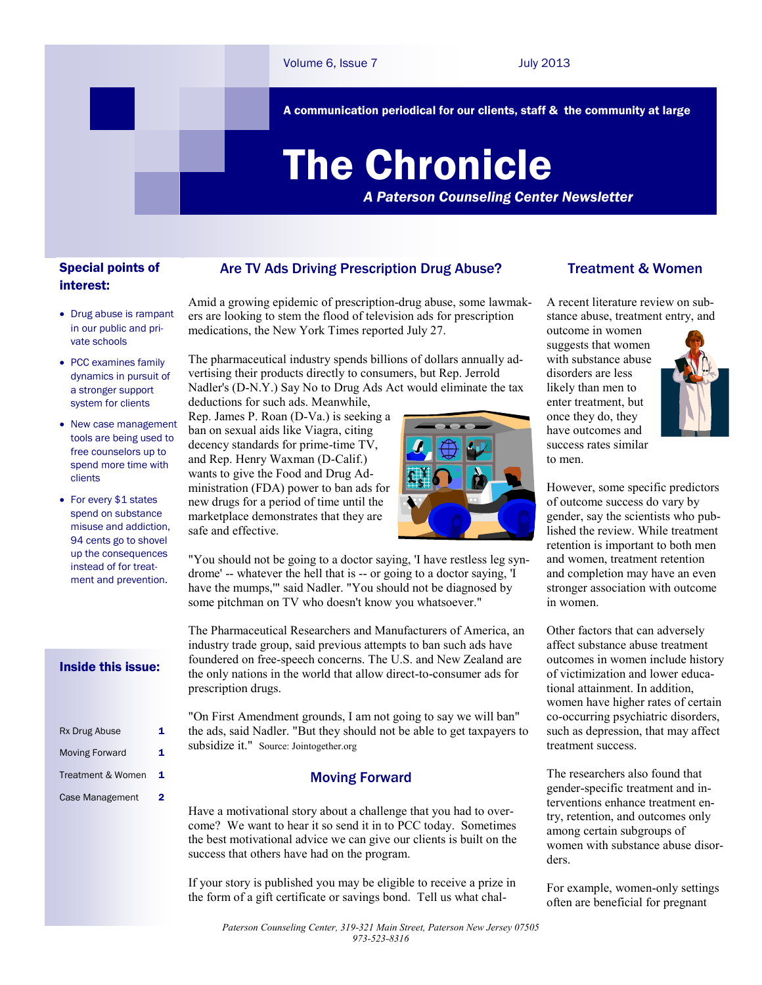A communication periodical for our clients, staff & the community at large

# The Chronicle

*A Paterson Counseling Center Newsletter*

# Special points of interest:

- Drug abuse is rampant in our public and private schools
- PCC examines family dynamics in pursuit of a stronger support system for clients
- New case management tools are being used to free counselors up to spend more time with clients
- For every \$1 states spend on substance misuse and addiction, 94 cents go to shovel up the consequences instead of for treatment and prevention.

#### Inside this issue:

| Rx Drug Abuse         | 1 |
|-----------------------|---|
| <b>Moving Forward</b> | 1 |
| Treatment & Women     | 1 |
| Case Management       | 2 |

### Are TV Ads Driving Prescription Drug Abuse?

Amid a growing epidemic of prescription-drug abuse, some lawmakers are looking to stem the flood of television ads for prescription medications, the New York Times reported July 27.

The pharmaceutical industry spends billions of dollars annually advertising their products directly to consumers, but Rep. Jerrold Nadler's (D-N.Y.) Say No to Drug Ads Act would eliminate the tax deductions for such ads. Meanwhile,

Rep. James P. Roan (D-Va.) is seeking a ban on sexual aids like Viagra, citing decency standards for prime-time TV, and Rep. Henry Waxman (D-Calif.) wants to give the Food and Drug Administration (FDA) power to ban ads for new drugs for a period of time until the marketplace demonstrates that they are safe and effective.



"You should not be going to a doctor saying, 'I have restless leg syndrome' -- whatever the hell that is -- or going to a doctor saying, 'I have the mumps,"" said Nadler. "You should not be diagnosed by some pitchman on TV who doesn't know you whatsoever."

The Pharmaceutical Researchers and Manufacturers of America, an industry trade group, said previous attempts to ban such ads have foundered on free-speech concerns. The U.S. and New Zealand are the only nations in the world that allow direct-to-consumer ads for prescription drugs.

"On First Amendment grounds, I am not going to say we will ban" the ads, said Nadler. "But they should not be able to get taxpayers to subsidize it." Source: Jointogether.org

#### Moving Forward

Have a motivational story about a challenge that you had to overcome? We want to hear it so send it in to PCC today. Sometimes the best motivational advice we can give our clients is built on the success that others have had on the program.

If your story is published you may be eligible to receive a prize in the form of a gift certificate or savings bond. Tell us what chal-

## Treatment & Women

A recent literature review on substance abuse, treatment entry, and

outcome in women suggests that women with substance abuse disorders are less likely than men to enter treatment, but once they do, they have outcomes and success rates similar to men.



However, some specific predictors of outcome success do vary by gender, say the scientists who published the review. While treatment retention is important to both men and women, treatment retention and completion may have an even stronger association with outcome in women.

Other factors that can adversely affect substance abuse treatment outcomes in women include history of victimization and lower educational attainment. In addition, women have higher rates of certain co-occurring psychiatric disorders, such as depression, that may affect treatment success.

The researchers also found that gender-specific treatment and interventions enhance treatment entry, retention, and outcomes only among certain subgroups of women with substance abuse disorders.

For example, women-only settings often are beneficial for pregnant